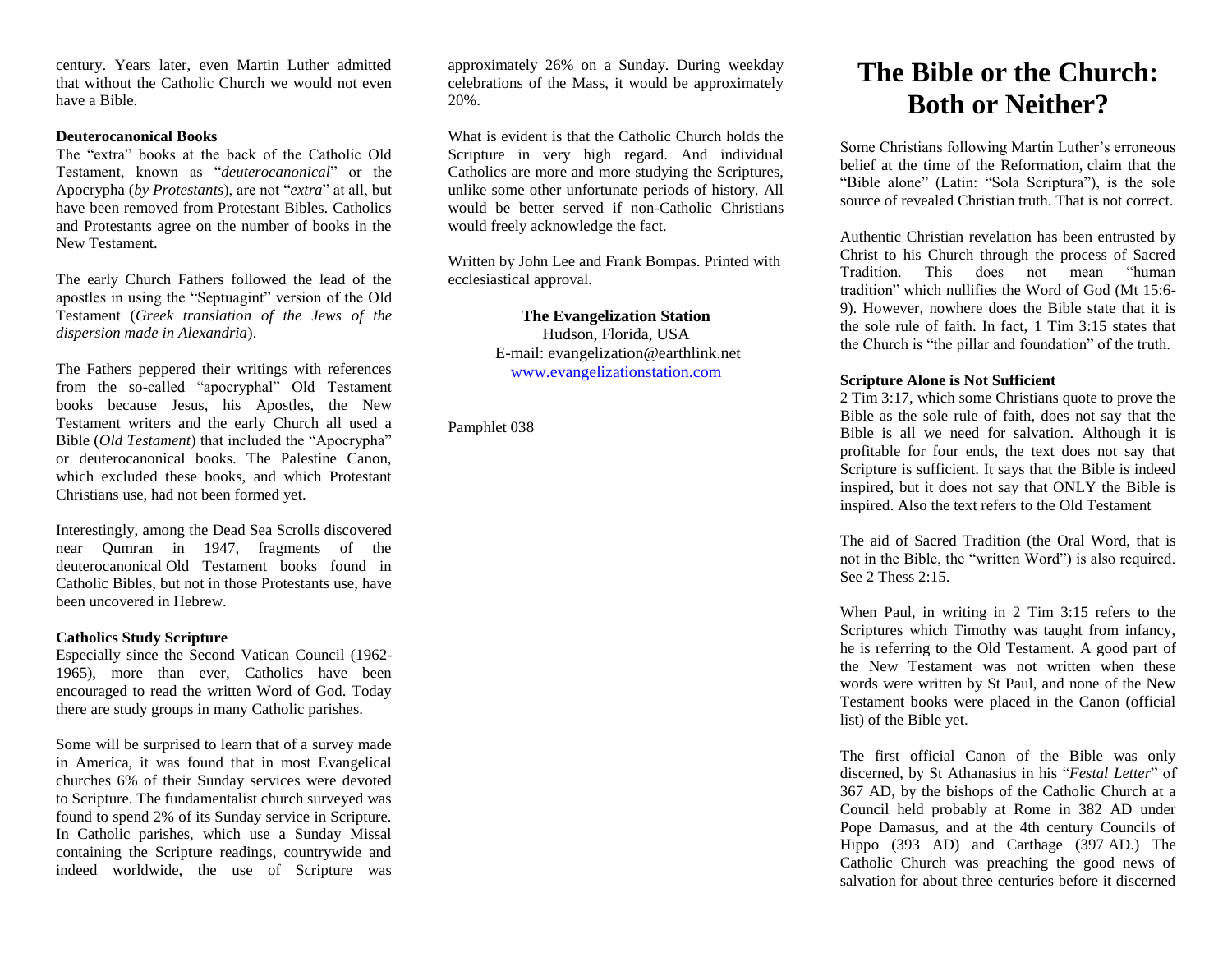century. Years later, even Martin Luther admitted that without the Catholic Church we would not even have a Bible.

#### **Deuterocanonical Books**

The "extra" books at the back of the Catholic Old Testament, known as "*deuterocanonical*" or the Apocrypha (*by Protestants*), are not "*extra*" at all, but have been removed from Protestant Bibles. Catholics and Protestants agree on the number of books in the New Testament.

The early Church Fathers followed the lead of the apostles in using the "Septuagint" version of the Old Testament (*Greek translation of the Jews of the dispersion made in Alexandria*).

The Fathers peppered their writings with references from the so-called "apocryphal" Old Testament books because Jesus, his Apostles, the New Testament writers and the early Church all used a Bible (*Old Testament*) that included the "Apocrypha" or deuterocanonical books. The Palestine Canon, which excluded these books, and which Protestant Christians use, had not been formed yet.

Interestingly, among the Dead Sea Scrolls discovered near Qumran in 1947, fragments of the deuterocanonical Old Testament books found in Catholic Bibles, but not in those Protestants use, have been uncovered in Hebrew.

#### **Catholics Study Scripture**

Especially since the Second Vatican Council (1962- 1965), more than ever, Catholics have been encouraged to read the written Word of God. Today there are study groups in many Catholic parishes.

Some will be surprised to learn that of a survey made in America, it was found that in most Evangelical churches 6% of their Sunday services were devoted to Scripture. The fundamentalist church surveyed was found to spend 2% of its Sunday service in Scripture. In Catholic parishes, which use a Sunday Missal containing the Scripture readings, countrywide and indeed worldwide, the use of Scripture was

approximately 26% on a Sunday. During weekday celebrations of the Mass, it would be approximately 20%.

What is evident is that the Catholic Church holds the Scripture in very high regard. And individual Catholics are more and more studying the Scriptures, unlike some other unfortunate periods of history. All would be better served if non-Catholic Christians would freely acknowledge the fact.

Written by John Lee and Frank Bompas. Printed with ecclesiastical approval.

> **The Evangelization Station** Hudson, Florida, USA

E-mail: evangelization@earthlink.net [www.evangelizationstation.com](http://www.pjpiisoe.org/)

Pamphlet 038

# **The Bible or the Church: Both or Neither?**

Some Christians following Martin Luther's erroneous belief at the time of the Reformation, claim that the "Bible alone" (Latin: "Sola Scriptura"), is the sole source of revealed Christian truth. That is not correct.

Authentic Christian revelation has been entrusted by Christ to his Church through the process of Sacred Tradition. This does not mean "human tradition" which nullifies the Word of God (Mt 15:6- 9). However, nowhere does the Bible state that it is the sole rule of faith. In fact, 1 Tim 3:15 states that the Church is "the pillar and foundation" of the truth.

## **Scripture Alone is Not Sufficient**

2 Tim 3:17, which some Christians quote to prove the Bible as the sole rule of faith, does not say that the Bible is all we need for salvation. Although it is profitable for four ends, the text does not say that Scripture is sufficient. It says that the Bible is indeed inspired, but it does not say that ONLY the Bible is inspired. Also the text refers to the Old Testament

The aid of Sacred Tradition (the Oral Word, that is not in the Bible, the "written Word") is also required. See 2 Thess 2:15.

When Paul, in writing in 2 Tim 3:15 refers to the Scriptures which Timothy was taught from infancy, he is referring to the Old Testament. A good part of the New Testament was not written when these words were written by St Paul, and none of the New Testament books were placed in the Canon (official list) of the Bible yet.

The first official Canon of the Bible was only discerned, by St Athanasius in his "*Festal Letter*" of 367 AD, by the bishops of the Catholic Church at a Council held probably at Rome in 382 AD under Pope Damasus, and at the 4th century Councils of Hippo (393 AD) and Carthage (397 AD.) The Catholic Church was preaching the good news of salvation for about three centuries before it discerned